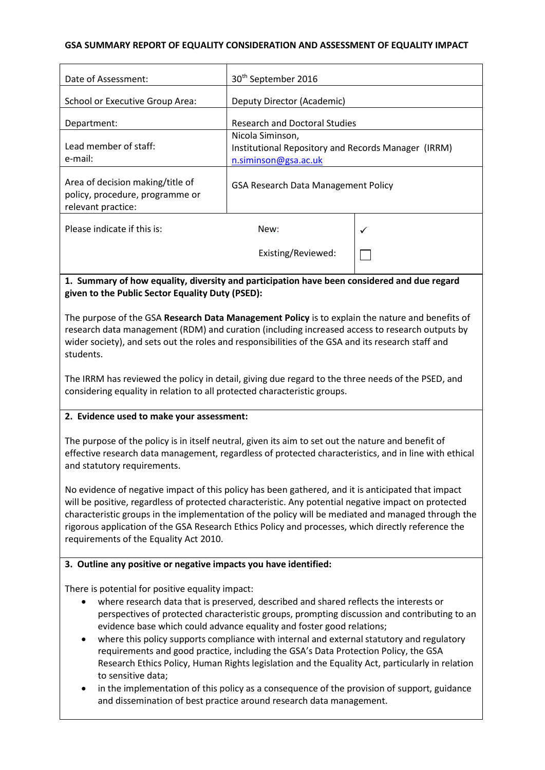### **GSA SUMMARY REPORT OF EQUALITY CONSIDERATION AND ASSESSMENT OF EQUALITY IMPACT**

| Date of Assessment:                                                                       | 30 <sup>th</sup> September 2016                                                                 |   |
|-------------------------------------------------------------------------------------------|-------------------------------------------------------------------------------------------------|---|
| <b>School or Executive Group Area:</b>                                                    | Deputy Director (Academic)                                                                      |   |
| Department:                                                                               | <b>Research and Doctoral Studies</b>                                                            |   |
| Lead member of staff:<br>e-mail:                                                          | Nicola Siminson,<br>Institutional Repository and Records Manager (IRRM)<br>n.siminson@gsa.ac.uk |   |
| Area of decision making/title of<br>policy, procedure, programme or<br>relevant practice: | <b>GSA Research Data Management Policy</b>                                                      |   |
| Please indicate if this is:                                                               | New:                                                                                            | ✓ |
|                                                                                           | Existing/Reviewed:                                                                              |   |

## **1. Summary of how equality, diversity and participation have been considered and due regard given to the Public Sector Equality Duty (PSED):**

The purpose of the GSA **Research Data Management Policy** is to explain the nature and benefits of research data management (RDM) and curation (including increased access to research outputs by wider society), and sets out the roles and responsibilities of the GSA and its research staff and students.

The IRRM has reviewed the policy in detail, giving due regard to the three needs of the PSED, and considering equality in relation to all protected characteristic groups.

#### **2. Evidence used to make your assessment:**

The purpose of the policy is in itself neutral, given its aim to set out the nature and benefit of effective research data management, regardless of protected characteristics, and in line with ethical and statutory requirements.

No evidence of negative impact of this policy has been gathered, and it is anticipated that impact will be positive, regardless of protected characteristic. Any potential negative impact on protected characteristic groups in the implementation of the policy will be mediated and managed through the rigorous application of the GSA Research Ethics Policy and processes, which directly reference the requirements of the Equality Act 2010.

## **3. Outline any positive or negative impacts you have identified:**

There is potential for positive equality impact:

- where research data that is preserved, described and shared reflects the interests or perspectives of protected characteristic groups, prompting discussion and contributing to an evidence base which could advance equality and foster good relations;
- where this policy supports compliance with internal and external statutory and regulatory requirements and good practice, including the GSA's Data Protection Policy, the GSA Research Ethics Policy, Human Rights legislation and the Equality Act, particularly in relation to sensitive data;
- in the implementation of this policy as a consequence of the provision of support, guidance and dissemination of best practice around research data management.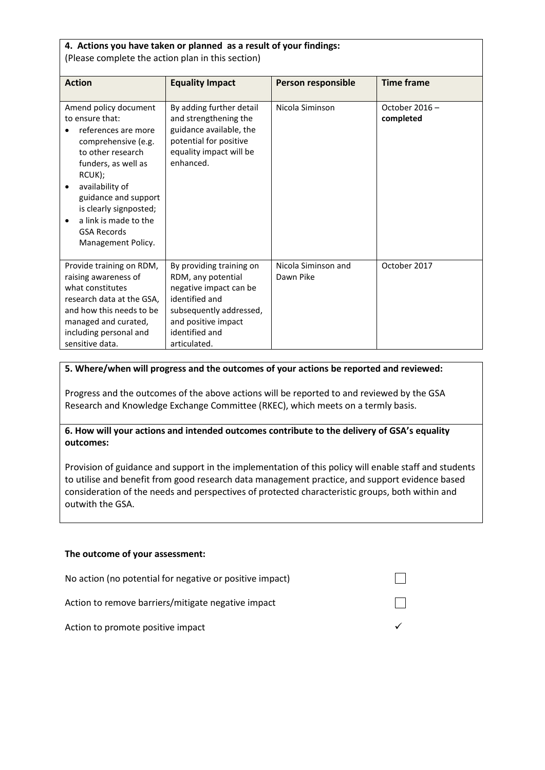| 4. Actions you have taken or planned as a result of your findings:<br>(Please complete the action plan in this section)                                                                                                                                                                             |                                                                                                                                                                                |                                  |                            |  |
|-----------------------------------------------------------------------------------------------------------------------------------------------------------------------------------------------------------------------------------------------------------------------------------------------------|--------------------------------------------------------------------------------------------------------------------------------------------------------------------------------|----------------------------------|----------------------------|--|
| <b>Action</b>                                                                                                                                                                                                                                                                                       | <b>Equality Impact</b>                                                                                                                                                         | Person responsible               | <b>Time frame</b>          |  |
| Amend policy document<br>to ensure that:<br>references are more<br>comprehensive (e.g.<br>to other research<br>funders, as well as<br>RCUK);<br>availability of<br>$\bullet$<br>guidance and support<br>is clearly signposted;<br>a link is made to the<br><b>GSA Records</b><br>Management Policy. | By adding further detail<br>and strengthening the<br>guidance available, the<br>potential for positive<br>equality impact will be<br>enhanced.                                 | Nicola Siminson                  | October 2016-<br>completed |  |
| Provide training on RDM,<br>raising awareness of<br>what constitutes<br>research data at the GSA,<br>and how this needs to be<br>managed and curated,<br>including personal and<br>sensitive data.                                                                                                  | By providing training on<br>RDM, any potential<br>negative impact can be<br>identified and<br>subsequently addressed,<br>and positive impact<br>identified and<br>articulated. | Nicola Siminson and<br>Dawn Pike | October 2017               |  |

## **5. Where/when will progress and the outcomes of your actions be reported and reviewed:**

Progress and the outcomes of the above actions will be reported to and reviewed by the GSA Research and Knowledge Exchange Committee (RKEC), which meets on a termly basis.

**6. How will your actions and intended outcomes contribute to the delivery of GSA's equality outcomes:**

Provision of guidance and support in the implementation of this policy will enable staff and students to utilise and benefit from good research data management practice, and support evidence based consideration of the needs and perspectives of protected characteristic groups, both within and outwith the GSA.

#### **The outcome of your assessment:**

| No action (no potential for negative or positive impact) |  |
|----------------------------------------------------------|--|
| Action to remove barriers/mitigate negative impact       |  |
| Action to promote positive impact                        |  |